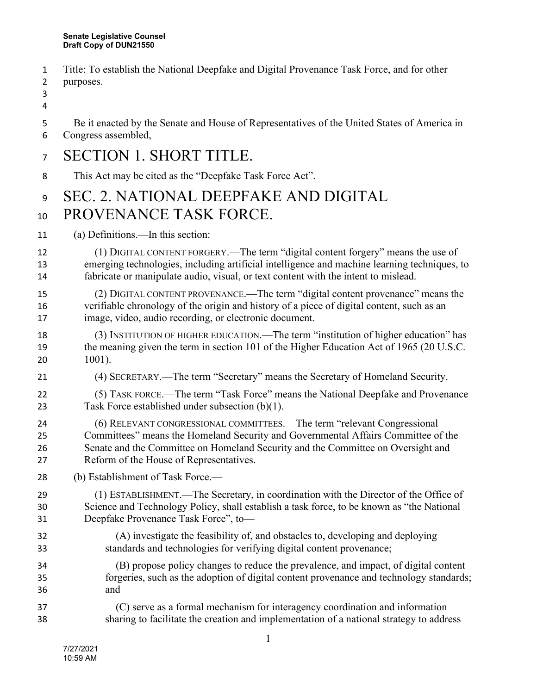- Title: To establish the National Deepfake and Digital Provenance Task Force, and for other
- purposes.
- 

Be it enacted by the Senate and House of Representatives of the United States of America in

Congress assembled,

## SECTION 1. SHORT TITLE.

This Act may be cited as the "Deepfake Task Force Act".

## SEC. 2. NATIONAL DEEPFAKE AND DIGITAL 10 PROVENANCE TASK FORCE.

- (a) Definitions.—In this section:
- (1) DIGITAL CONTENT FORGERY.—The term "digital content forgery" means the use of emerging technologies, including artificial intelligence and machine learning techniques, to fabricate or manipulate audio, visual, or text content with the intent to mislead.
- (2) DIGITAL CONTENT PROVENANCE.—The term "digital content provenance" means the verifiable chronology of the origin and history of a piece of digital content, such as an image, video, audio recording, or electronic document.
- (3) INSTITUTION OF HIGHER EDUCATION.—The term "institution of higher education" has 19 the meaning given the term in section 101 of the Higher Education Act of 1965 (20 U.S.C. 1001).
- (4) SECRETARY.—The term "Secretary" means the Secretary of Homeland Security.
- (5) TASK FORCE.—The term "Task Force" means the National Deepfake and Provenance Task Force established under subsection (b)(1).
- (6) RELEVANT CONGRESSIONAL COMMITTEES.—The term "relevant Congressional Committees" means the Homeland Security and Governmental Affairs Committee of the Senate and the Committee on Homeland Security and the Committee on Oversight and Reform of the House of Representatives.
- (b) Establishment of Task Force.—
- (1) ESTABLISHMENT.—The Secretary, in coordination with the Director of the Office of Science and Technology Policy, shall establish a task force, to be known as "the National Deepfake Provenance Task Force", to—
- (A) investigate the feasibility of, and obstacles to, developing and deploying standards and technologies for verifying digital content provenance;
- (B) propose policy changes to reduce the prevalence, and impact, of digital content forgeries, such as the adoption of digital content provenance and technology standards; and
- (C) serve as a formal mechanism for interagency coordination and information sharing to facilitate the creation and implementation of a national strategy to address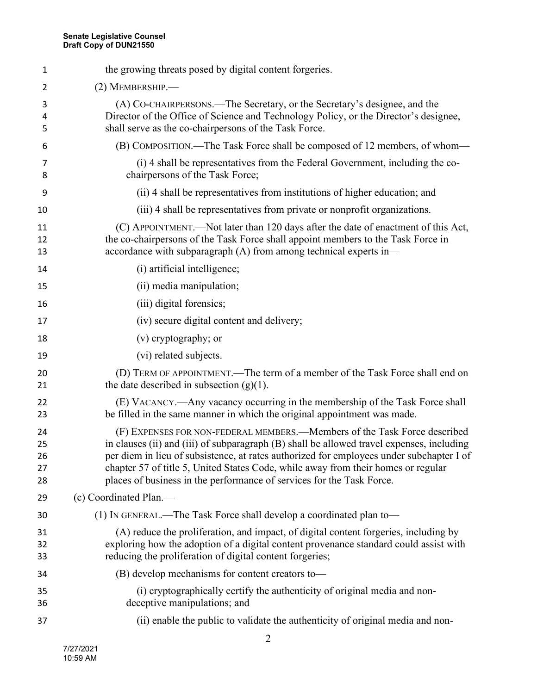| 1                          | the growing threats posed by digital content forgeries.                                                                                                                                                                                                                                                                                                                                                                          |
|----------------------------|----------------------------------------------------------------------------------------------------------------------------------------------------------------------------------------------------------------------------------------------------------------------------------------------------------------------------------------------------------------------------------------------------------------------------------|
| 2                          | $(2)$ MEMBERSHIP.—                                                                                                                                                                                                                                                                                                                                                                                                               |
| 3<br>4<br>5                | (A) CO-CHAIRPERSONS.—The Secretary, or the Secretary's designee, and the<br>Director of the Office of Science and Technology Policy, or the Director's designee,<br>shall serve as the co-chairpersons of the Task Force.                                                                                                                                                                                                        |
| 6                          | (B) COMPOSITION.—The Task Force shall be composed of 12 members, of whom—                                                                                                                                                                                                                                                                                                                                                        |
| 7<br>8                     | (i) 4 shall be representatives from the Federal Government, including the co-<br>chairpersons of the Task Force;                                                                                                                                                                                                                                                                                                                 |
| 9                          | (ii) 4 shall be representatives from institutions of higher education; and                                                                                                                                                                                                                                                                                                                                                       |
| 10                         | (iii) 4 shall be representatives from private or nonprofit organizations.                                                                                                                                                                                                                                                                                                                                                        |
| 11<br>12<br>13             | (C) APPOINTMENT.—Not later than 120 days after the date of enactment of this Act,<br>the co-chairpersons of the Task Force shall appoint members to the Task Force in<br>accordance with subparagraph $(A)$ from among technical experts in-                                                                                                                                                                                     |
| 14                         | (i) artificial intelligence;                                                                                                                                                                                                                                                                                                                                                                                                     |
| 15                         | (ii) media manipulation;                                                                                                                                                                                                                                                                                                                                                                                                         |
| 16                         | (iii) digital forensics;                                                                                                                                                                                                                                                                                                                                                                                                         |
| 17                         | (iv) secure digital content and delivery;                                                                                                                                                                                                                                                                                                                                                                                        |
| 18                         | (v) cryptography; or                                                                                                                                                                                                                                                                                                                                                                                                             |
| 19                         | (vi) related subjects.                                                                                                                                                                                                                                                                                                                                                                                                           |
| 20<br>21                   | (D) TERM OF APPOINTMENT.—The term of a member of the Task Force shall end on<br>the date described in subsection $(g)(1)$ .                                                                                                                                                                                                                                                                                                      |
| 22<br>23                   | (E) VACANCY.—Any vacancy occurring in the membership of the Task Force shall<br>be filled in the same manner in which the original appointment was made.                                                                                                                                                                                                                                                                         |
| 24<br>25<br>26<br>27<br>28 | (F) EXPENSES FOR NON-FEDERAL MEMBERS.—Members of the Task Force described<br>in clauses (ii) and (iii) of subparagraph (B) shall be allowed travel expenses, including<br>per diem in lieu of subsistence, at rates authorized for employees under subchapter I of<br>chapter 57 of title 5, United States Code, while away from their homes or regular<br>places of business in the performance of services for the Task Force. |
| 29                         | (c) Coordinated Plan.—                                                                                                                                                                                                                                                                                                                                                                                                           |
| 30                         | (1) IN GENERAL.—The Task Force shall develop a coordinated plan to—                                                                                                                                                                                                                                                                                                                                                              |
| 31<br>32<br>33             | (A) reduce the proliferation, and impact, of digital content forgeries, including by<br>exploring how the adoption of a digital content provenance standard could assist with<br>reducing the proliferation of digital content forgeries;                                                                                                                                                                                        |
| 34                         | (B) develop mechanisms for content creators to-                                                                                                                                                                                                                                                                                                                                                                                  |
| 35<br>36                   | (i) cryptographically certify the authenticity of original media and non-<br>deceptive manipulations; and                                                                                                                                                                                                                                                                                                                        |
| 37                         | (ii) enable the public to validate the authenticity of original media and non-                                                                                                                                                                                                                                                                                                                                                   |
|                            |                                                                                                                                                                                                                                                                                                                                                                                                                                  |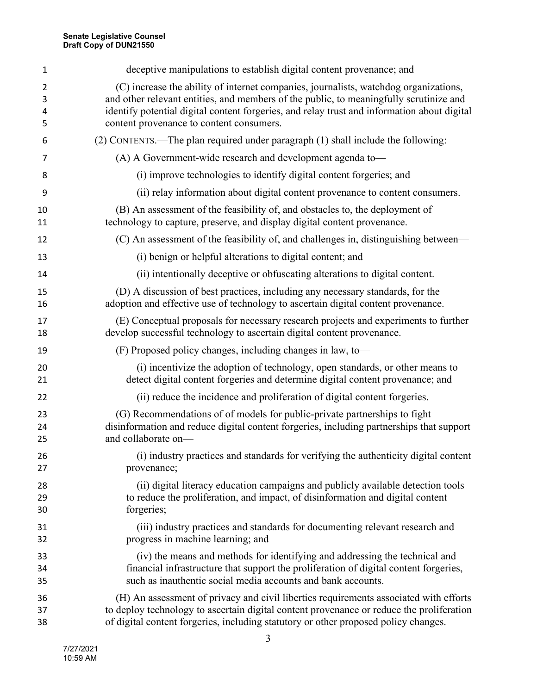| 1  | deceptive manipulations to establish digital content provenance; and                        |
|----|---------------------------------------------------------------------------------------------|
| 2  | (C) increase the ability of internet companies, journalists, watchdog organizations,        |
| 3  | and other relevant entities, and members of the public, to meaningfully scrutinize and      |
| 4  | identify potential digital content forgeries, and relay trust and information about digital |
| 5  | content provenance to content consumers.                                                    |
| 6  | (2) CONTENTS.—The plan required under paragraph (1) shall include the following:            |
| 7  | (A) A Government-wide research and development agenda to-                                   |
| 8  | (i) improve technologies to identify digital content forgeries; and                         |
| 9  | (ii) relay information about digital content provenance to content consumers.               |
| 10 | (B) An assessment of the feasibility of, and obstacles to, the deployment of                |
| 11 | technology to capture, preserve, and display digital content provenance.                    |
| 12 | (C) An assessment of the feasibility of, and challenges in, distinguishing between—         |
| 13 | (i) benign or helpful alterations to digital content; and                                   |
| 14 | (ii) intentionally deceptive or obfuscating alterations to digital content.                 |
| 15 | (D) A discussion of best practices, including any necessary standards, for the              |
| 16 | adoption and effective use of technology to ascertain digital content provenance.           |
| 17 | (E) Conceptual proposals for necessary research projects and experiments to further         |
| 18 | develop successful technology to ascertain digital content provenance.                      |
| 19 | (F) Proposed policy changes, including changes in law, to-                                  |
| 20 | (i) incentivize the adoption of technology, open standards, or other means to               |
| 21 | detect digital content forgeries and determine digital content provenance; and              |
| 22 | (ii) reduce the incidence and proliferation of digital content forgeries.                   |
| 23 | (G) Recommendations of of models for public-private partnerships to fight                   |
| 24 | disinformation and reduce digital content forgeries, including partnerships that support    |
| 25 | and collaborate on-                                                                         |
| 26 | (i) industry practices and standards for verifying the authenticity digital content         |
| 27 | provenance;                                                                                 |
| 28 | (ii) digital literacy education campaigns and publicly available detection tools            |
| 29 | to reduce the proliferation, and impact, of disinformation and digital content              |
| 30 | forgeries;                                                                                  |
| 31 | (iii) industry practices and standards for documenting relevant research and                |
| 32 | progress in machine learning; and                                                           |
| 33 | (iv) the means and methods for identifying and addressing the technical and                 |
| 34 | financial infrastructure that support the proliferation of digital content forgeries,       |
| 35 | such as inauthentic social media accounts and bank accounts.                                |
| 36 | (H) An assessment of privacy and civil liberties requirements associated with efforts       |
| 37 | to deploy technology to ascertain digital content provenance or reduce the proliferation    |
| 38 | of digital content forgeries, including statutory or other proposed policy changes.         |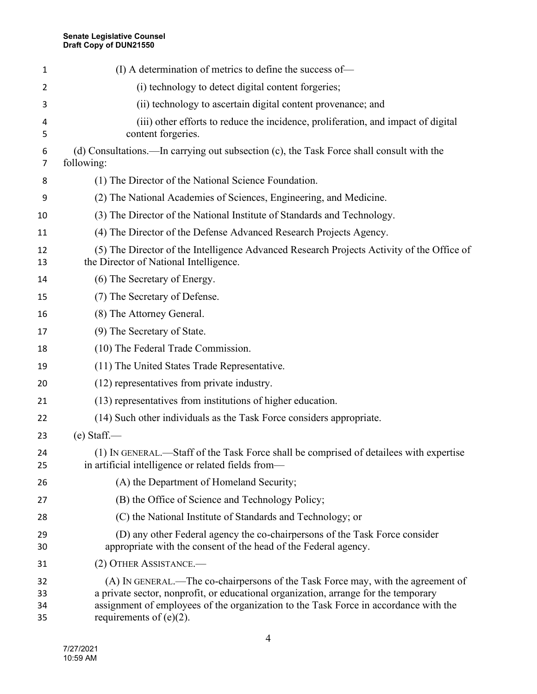| 1                    | (I) A determination of metrics to define the success of—                                                                                                                                                                                                                                      |
|----------------------|-----------------------------------------------------------------------------------------------------------------------------------------------------------------------------------------------------------------------------------------------------------------------------------------------|
| 2                    | (i) technology to detect digital content forgeries;                                                                                                                                                                                                                                           |
| 3                    | (ii) technology to ascertain digital content provenance; and                                                                                                                                                                                                                                  |
| 4<br>5               | (iii) other efforts to reduce the incidence, proliferation, and impact of digital<br>content forgeries.                                                                                                                                                                                       |
| 6<br>7               | (d) Consultations.—In carrying out subsection (c), the Task Force shall consult with the<br>following:                                                                                                                                                                                        |
| 8                    | (1) The Director of the National Science Foundation.                                                                                                                                                                                                                                          |
| 9                    | (2) The National Academies of Sciences, Engineering, and Medicine.                                                                                                                                                                                                                            |
| 10                   | (3) The Director of the National Institute of Standards and Technology.                                                                                                                                                                                                                       |
| 11                   | (4) The Director of the Defense Advanced Research Projects Agency.                                                                                                                                                                                                                            |
| 12<br>13             | (5) The Director of the Intelligence Advanced Research Projects Activity of the Office of<br>the Director of National Intelligence.                                                                                                                                                           |
| 14                   | (6) The Secretary of Energy.                                                                                                                                                                                                                                                                  |
| 15                   | (7) The Secretary of Defense.                                                                                                                                                                                                                                                                 |
| 16                   | (8) The Attorney General.                                                                                                                                                                                                                                                                     |
| 17                   | (9) The Secretary of State.                                                                                                                                                                                                                                                                   |
| 18                   | (10) The Federal Trade Commission.                                                                                                                                                                                                                                                            |
| 19                   | (11) The United States Trade Representative.                                                                                                                                                                                                                                                  |
| 20                   | (12) representatives from private industry.                                                                                                                                                                                                                                                   |
| 21                   | (13) representatives from institutions of higher education.                                                                                                                                                                                                                                   |
| 22                   | (14) Such other individuals as the Task Force considers appropriate.                                                                                                                                                                                                                          |
| 23                   | $(e)$ Staff.—                                                                                                                                                                                                                                                                                 |
| 24<br>25             | (1) IN GENERAL.-Staff of the Task Force shall be comprised of detailees with expertise<br>in artificial intelligence or related fields from—                                                                                                                                                  |
| 26                   | (A) the Department of Homeland Security;                                                                                                                                                                                                                                                      |
| 27                   | (B) the Office of Science and Technology Policy;                                                                                                                                                                                                                                              |
| 28                   | (C) the National Institute of Standards and Technology; or                                                                                                                                                                                                                                    |
| 29<br>30             | (D) any other Federal agency the co-chairpersons of the Task Force consider<br>appropriate with the consent of the head of the Federal agency.                                                                                                                                                |
| 31                   | (2) OTHER ASSISTANCE.-                                                                                                                                                                                                                                                                        |
| 32<br>33<br>34<br>35 | (A) IN GENERAL.—The co-chairpersons of the Task Force may, with the agreement of<br>a private sector, nonprofit, or educational organization, arrange for the temporary<br>assignment of employees of the organization to the Task Force in accordance with the<br>requirements of $(e)(2)$ . |